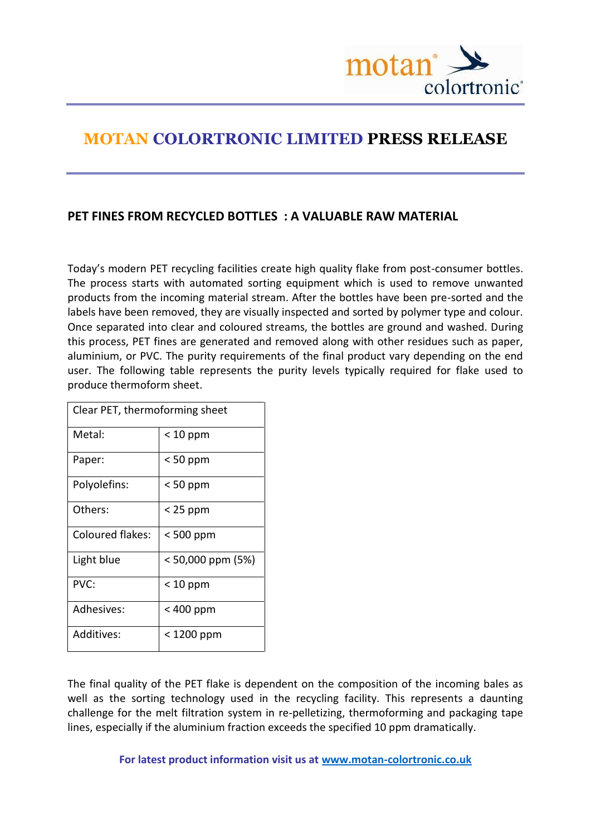

## **MOTAN COLORTRONIC LIMITED PRESS RELEASE**

## **PET FINES FROM RECYCLED BOTTLES : A VALUABLE RAW MATERIAL**

Today's modern PET recycling facilities create high quality flake from post-consumer bottles. The process starts with automated sorting equipment which is used to remove unwanted products from the incoming material stream. After the bottles have been pre-sorted and the labels have been removed, they are visually inspected and sorted by polymer type and colour. Once separated into clear and coloured streams, the bottles are ground and washed. During this process, PET fines are generated and removed along with other residues such as paper, aluminium, or PVC. The purity requirements of the final product vary depending on the end user. The following table represents the purity levels typically required for flake used to produce thermoform sheet.

| Clear PET, thermoforming sheet |                   |
|--------------------------------|-------------------|
| Metal:                         | $< 10$ ppm        |
| Paper:                         | $< 50$ ppm        |
| Polyolefins:                   | $< 50$ ppm        |
| Others:                        | $<$ 25 ppm        |
| Coloured flakes:               | < 500 ppm         |
| Light blue                     | < 50,000 ppm (5%) |
| PVC:                           | $< 10$ ppm        |
| Adhesives:                     | < 400 ppm         |
| Additives:                     | < 1200 ppm        |

The final quality of the PET flake is dependent on the composition of the incoming bales as well as the sorting technology used in the recycling facility. This represents a daunting challenge for the melt filtration system in re-pelletizing, thermoforming and packaging tape lines, especially if the aluminium fraction exceeds the specified 10 ppm dramatically.

**For latest product information visit us at [www.motan-colortronic.co.uk](http://www.motan-colortronic.co.uk/)**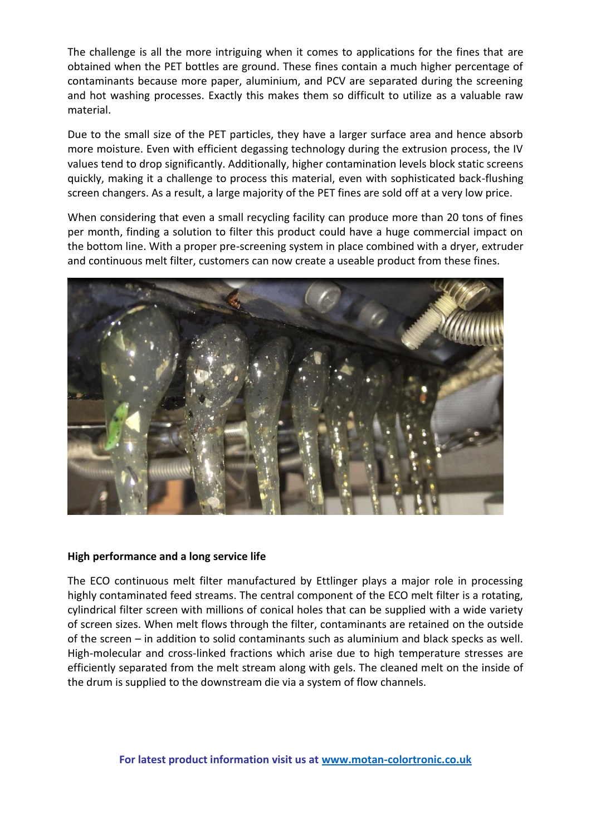The challenge is all the more intriguing when it comes to applications for the fines that are obtained when the PET bottles are ground. These fines contain a much higher percentage of contaminants because more paper, aluminium, and PCV are separated during the screening and hot washing processes. Exactly this makes them so difficult to utilize as a valuable raw material.

Due to the small size of the PET particles, they have a larger surface area and hence absorb more moisture. Even with efficient degassing technology during the extrusion process, the IV values tend to drop significantly. Additionally, higher contamination levels block static screens quickly, making it a challenge to process this material, even with sophisticated back-flushing screen changers. As a result, a large majority of the PET fines are sold off at a very low price.

When considering that even a small recycling facility can produce more than 20 tons of fines per month, finding a solution to filter this product could have a huge commercial impact on the bottom line. With a proper pre-screening system in place combined with a dryer, extruder and continuous melt filter, customers can now create a useable product from these fines.



## **High performance and a long service life**

The ECO continuous melt filter manufactured by Ettlinger plays a major role in processing highly contaminated feed streams. The central component of the ECO melt filter is a rotating, cylindrical filter screen with millions of conical holes that can be supplied with a wide variety of screen sizes. When melt flows through the filter, contaminants are retained on the outside of the screen – in addition to solid contaminants such as aluminium and black specks as well. High-molecular and cross-linked fractions which arise due to high temperature stresses are efficiently separated from the melt stream along with gels. The cleaned melt on the inside of the drum is supplied to the downstream die via a system of flow channels.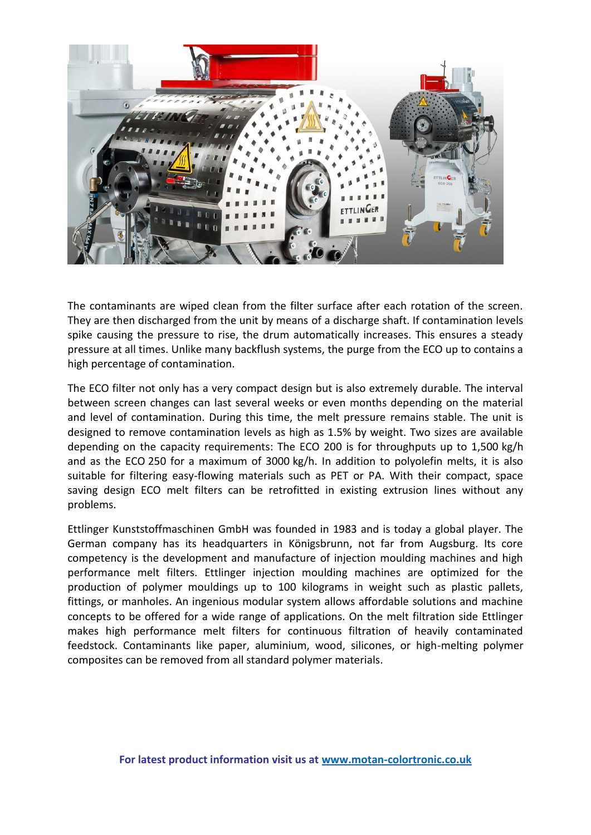

The contaminants are wiped clean from the filter surface after each rotation of the screen. They are then discharged from the unit by means of a discharge shaft. If contamination levels spike causing the pressure to rise, the drum automatically increases. This ensures a steady pressure at all times. Unlike many backflush systems, the purge from the ECO up to contains a high percentage of contamination.

The ECO filter not only has a very compact design but is also extremely durable. The interval between screen changes can last several weeks or even months depending on the material and level of contamination. During this time, the melt pressure remains stable. The unit is designed to remove contamination levels as high as 1.5% by weight. Two sizes are available depending on the capacity requirements: The ECO 200 is for throughputs up to 1,500 kg/h and as the ECO 250 for a maximum of 3000 kg/h. In addition to polyolefin melts, it is also suitable for filtering easy-flowing materials such as PET or PA. With their compact, space saving design ECO melt filters can be retrofitted in existing extrusion lines without any problems.

Ettlinger Kunststoffmaschinen GmbH was founded in 1983 and is today a global player. The German company has its headquarters in Königsbrunn, not far from Augsburg. Its core competency is the development and manufacture of injection moulding machines and high performance melt filters. Ettlinger injection moulding machines are optimized for the production of polymer mouldings up to 100 kilograms in weight such as plastic pallets, fittings, or manholes. An ingenious modular system allows affordable solutions and machine concepts to be offered for a wide range of applications. On the melt filtration side Ettlinger makes high performance melt filters for continuous filtration of heavily contaminated feedstock. Contaminants like paper, aluminium, wood, silicones, or high-melting polymer composites can be removed from all standard polymer materials.